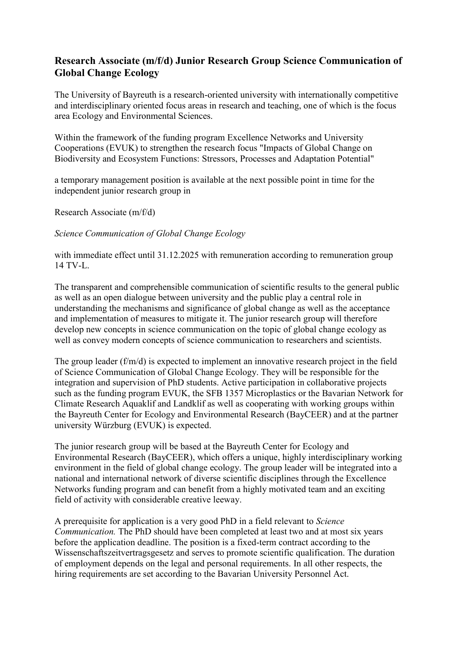## **Research Associate (m/f/d) Junior Research Group Science Communication of Global Change Ecology**

The University of Bayreuth is a research-oriented university with internationally competitive and interdisciplinary oriented focus areas in research and teaching, one of which is the focus area Ecology and Environmental Sciences.

Within the framework of the funding program Excellence Networks and University Cooperations (EVUK) to strengthen the research focus "Impacts of Global Change on Biodiversity and Ecosystem Functions: Stressors, Processes and Adaptation Potential"

a temporary management position is available at the next possible point in time for the independent junior research group in

Research Associate (m/f/d)

*Science Communication of Global Change Ecology*

with immediate effect until 31.12.2025 with remuneration according to remuneration group 14 TV-L.

The transparent and comprehensible communication of scientific results to the general public as well as an open dialogue between university and the public play a central role in understanding the mechanisms and significance of global change as well as the acceptance and implementation of measures to mitigate it. The junior research group will therefore develop new concepts in science communication on the topic of global change ecology as well as convey modern concepts of science communication to researchers and scientists.

The group leader (f/m/d) is expected to implement an innovative research project in the field of Science Communication of Global Change Ecology. They will be responsible for the integration and supervision of PhD students. Active participation in collaborative projects such as the funding program EVUK, the SFB 1357 Microplastics or the Bavarian Network for Climate Research Aquaklif and Landklif as well as cooperating with working groups within the Bayreuth Center for Ecology and Environmental Research (BayCEER) and at the partner university Würzburg (EVUK) is expected.

The junior research group will be based at the Bayreuth Center for Ecology and Environmental Research (BayCEER), which offers a unique, highly interdisciplinary working environment in the field of global change ecology. The group leader will be integrated into a national and international network of diverse scientific disciplines through the Excellence Networks funding program and can benefit from a highly motivated team and an exciting field of activity with considerable creative leeway.

A prerequisite for application is a very good PhD in a field relevant to *Science Communication.* The PhD should have been completed at least two and at most six years before the application deadline. The position is a fixed-term contract according to the Wissenschaftszeitvertragsgesetz and serves to promote scientific qualification. The duration of employment depends on the legal and personal requirements. In all other respects, the hiring requirements are set according to the Bavarian University Personnel Act.